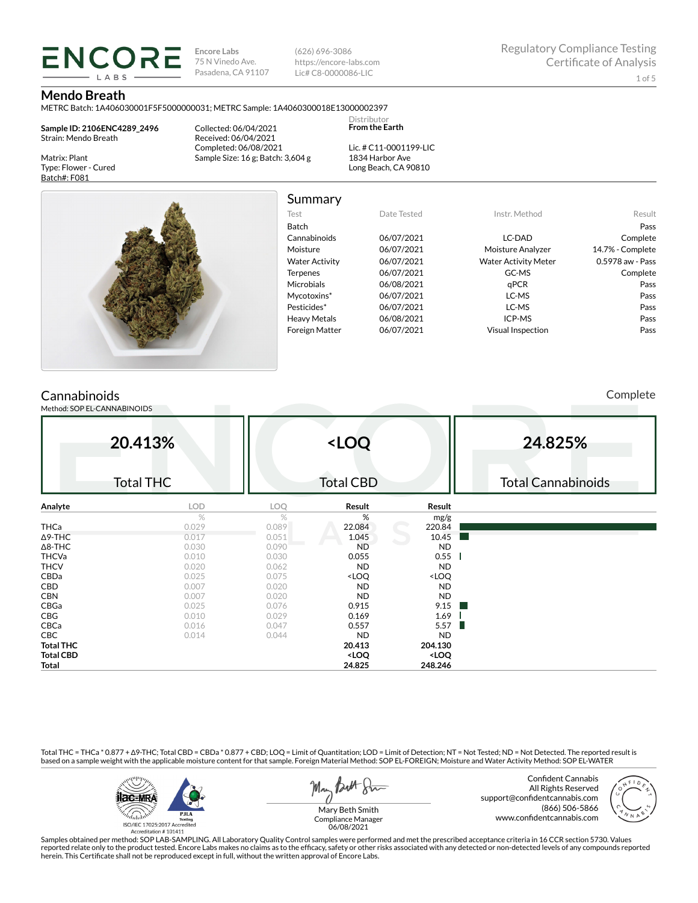**Encore Labs** 75 N Vinedo Ave. Pasadena, CA 91107

(626) 696-3086 https://encore-labs.com Lic# C8-0000086-LIC

#### **Mendo Breath**

METRC Batch: 1A406030001F5F5000000031; METRC Sample: 1A4060300018E13000002397

**Sample ID: 2106ENC4289\_2496** Strain: Mendo Breath

**ENCORE** 

Matrix: Plant Type: Flower - Cured Batch#: F081

Collected: 06/04/2021 Received: 06/04/2021 Completed: 06/08/2021 Sample Size: 16 g; Batch: 3,604 g

Lic. # C11-0001199-LIC 1834 Harbor Ave Long Beach, CA 90810

Distributor **From the Earth**



Summary Test Date Tested Instr. Method Result Batch Pass Cannabinoids 06/07/2021 LC-DAD Complete Moisture 06/07/2021 Moisture Analyzer 14.7% - Complete Water Activity  $06/07/2021$  Water Activity Meter 0.5978 aw - Pass Terpenes 06/07/2021 GC-MS GC-MS Complete Microbials 06/08/2021 qPCR Pass Mycotoxins\* 06/07/2021 LC-MS Pass

# Pesticides\* 06/07/2021 LC-MS Pass Heavy Metals 06/08/2021 ICP-MS Pass Foreign Matter 06/07/2021 Visual Inspection Pass

## Cannabinoids

Method: SOP EL-CANNABINOIDS

Complete

|                  | 20.413%<br><b>Total THC</b> |       | <loq<br><b>Total CBD</b></loq<br>                        |                              | 24.825%<br><b>Total Cannabinoids</b> |
|------------------|-----------------------------|-------|----------------------------------------------------------|------------------------------|--------------------------------------|
|                  |                             |       |                                                          |                              |                                      |
| Analyte          | LOD                         | LOQ   | Result                                                   | Result                       |                                      |
|                  | %                           | $\%$  | %                                                        | mg/g                         |                                      |
| THCa             | 0.029                       | 0.089 | 22.084                                                   | 220.84                       |                                      |
| $\Delta$ 9-THC   | 0.017                       | 0.051 | 1.045                                                    | 10.45                        |                                      |
| $\Delta$ 8-THC   | 0.030                       | 0.090 | <b>ND</b>                                                | <b>ND</b>                    |                                      |
| THCVa            | 0.010                       | 0.030 | 0.055                                                    | 0.55                         |                                      |
| <b>THCV</b>      | 0.020                       | 0.062 | <b>ND</b>                                                | <b>ND</b>                    |                                      |
| CBDa             | 0.025                       | 0.075 | <loq< td=""><td><loq< td=""><td></td></loq<></td></loq<> | <loq< td=""><td></td></loq<> |                                      |
| CBD              | 0.007                       | 0.020 | <b>ND</b>                                                | <b>ND</b>                    |                                      |
| <b>CBN</b>       | 0.007                       | 0.020 | <b>ND</b>                                                | <b>ND</b>                    |                                      |
| CBGa             | 0.025                       | 0.076 | 0.915                                                    | 9.15<br><b>Tara</b>          |                                      |
| CBG              | 0.010                       | 0.029 | 0.169                                                    | 1.69                         |                                      |
| CBCa             | 0.016                       | 0.047 | 0.557                                                    | 5.57<br>ш                    |                                      |
| CBC              | 0.014                       | 0.044 | <b>ND</b>                                                | <b>ND</b>                    |                                      |
| <b>Total THC</b> |                             |       | 20.413                                                   | 204.130                      |                                      |
| <b>Total CBD</b> |                             |       | <loq< td=""><td><loq< td=""><td></td></loq<></td></loq<> | <loq< td=""><td></td></loq<> |                                      |
| Total            |                             |       | 24.825                                                   | 248.246                      |                                      |

Total THC = THCa \* 0.877 + ∆9-THC; Total CBD = CBDa \* 0.877 + CBD; LOQ = Limit of Quantitation; LOD = Limit of Detection; NT = Not Tested; ND = Not Detected. The reported result is based on a sample weight with the applicable moisture content for that sample. Foreign Material Method: SOP EL-FOREIGN; Moisture and Water Activity Method: SOP EL-WATER



Butt Stre Man

Confident Cannabis All Rights Reserved support@confidentcannabis.com (866) 506-5866 www.confidentcannabis.com



Mary Beth Smith Compliance Manager 06/08/2021

Samples obtained per method: SOP LAB-SAMPLING. All Laboratory Quality Control samples were performed and met the prescribed acceptance criteria in 16 CCR section 5730. Values reported relate only to the product tested. Encore Labs makes no claims as to the efficacy, safety or other risks associated with any detected or non-detected levels of any compounds reported<br>herein. This Certificate shall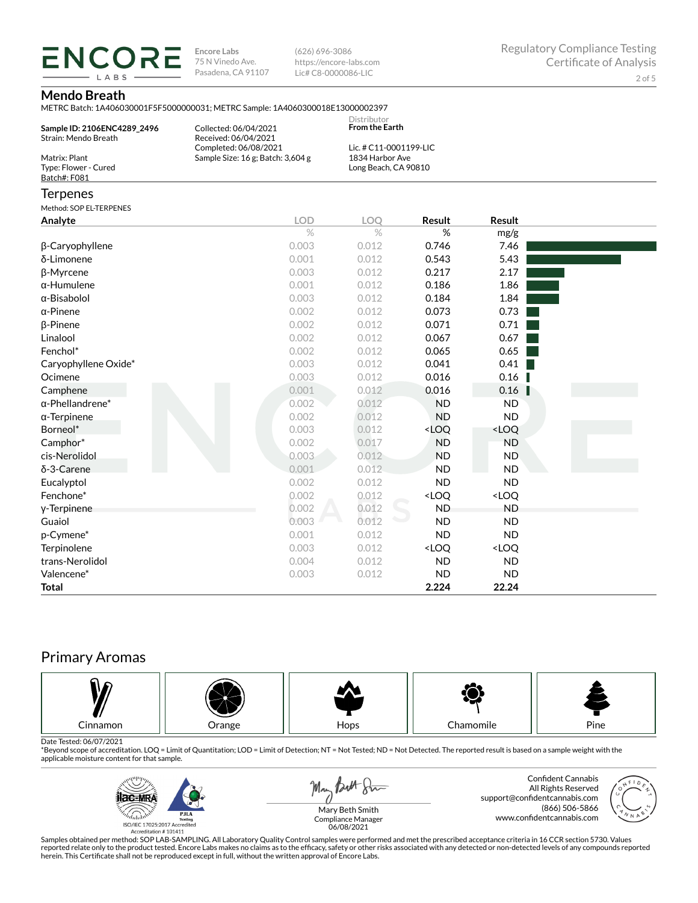**ENCORE Encore Labs** 75 N Vinedo Ave. Pasadena, CA 91107

(626) 696-3086 https://encore-labs.com Lic# C8-0000086-LIC

#### **Mendo Breath**

LABS

METRC Batch: 1A406030001F5F5000000031; METRC Sample: 1A4060300018E13000002397

| Sample ID: 2106ENC4289 2496<br>Strain: Mendo Breath   | VILTING DALGIT. IMHOODOOODII DI DOOOOOODDI, METING DAIIIDIG. IMHOOODOODIDEID<br>Collected: 06/04/2021<br>Received: 06/04/2021 | Distributor<br><b>From the Earth</b>                              |                                                          |                              |  |
|-------------------------------------------------------|-------------------------------------------------------------------------------------------------------------------------------|-------------------------------------------------------------------|----------------------------------------------------------|------------------------------|--|
| Matrix: Plant<br>Type: Flower - Cured<br>Batch#: F081 | Completed: 06/08/2021<br>Sample Size: 16 g; Batch: 3,604 g                                                                    | Lic. # C11-0001199-LIC<br>1834 Harbor Ave<br>Long Beach, CA 90810 |                                                          |                              |  |
| <b>Terpenes</b>                                       |                                                                                                                               |                                                                   |                                                          |                              |  |
| Method: SOP EL-TERPENES                               |                                                                                                                               |                                                                   |                                                          |                              |  |
| Analyte                                               | <b>LOD</b>                                                                                                                    | LOQ                                                               | Result                                                   | Result                       |  |
|                                                       | $\%$                                                                                                                          | $\%$                                                              | %                                                        | mg/g                         |  |
| β-Caryophyllene                                       | 0.003                                                                                                                         | 0.012                                                             | 0.746                                                    | 7.46                         |  |
| δ-Limonene                                            | 0.001                                                                                                                         | 0.012                                                             | 0.543                                                    | 5.43                         |  |
| β-Myrcene                                             | 0.003                                                                                                                         | 0.012                                                             | 0.217                                                    | 2.17                         |  |
| $\alpha$ -Humulene                                    | 0.001                                                                                                                         | 0.012                                                             | 0.186                                                    | 1.86                         |  |
| $\alpha$ -Bisabolol                                   | 0.003                                                                                                                         | 0.012                                                             | 0.184                                                    | 1.84                         |  |
| $\alpha$ -Pinene                                      | 0.002                                                                                                                         | 0.012                                                             | 0.073                                                    | 0.73                         |  |
| <b>B-Pinene</b>                                       | 0.002                                                                                                                         | 0.012                                                             | 0.071                                                    | 0.71                         |  |
| Linalool                                              | 0.002                                                                                                                         | 0.012                                                             | 0.067                                                    | 0.67                         |  |
| Fenchol*                                              | 0.002                                                                                                                         | 0.012                                                             | 0.065                                                    | 0.65                         |  |
| Caryophyllene Oxide*                                  | 0.003                                                                                                                         | 0.012                                                             | 0.041                                                    | $0.41$                       |  |
| Ocimene                                               | 0.003                                                                                                                         | 0.012                                                             | 0.016                                                    | 0.16                         |  |
| Camphene                                              | 0.001                                                                                                                         | 0.012                                                             | 0.016                                                    | 0.16                         |  |
| $\alpha$ -Phellandrene*                               | 0.002                                                                                                                         | 0.012                                                             | <b>ND</b>                                                | <b>ND</b>                    |  |
| $\alpha$ -Terpinene                                   | 0.002                                                                                                                         | 0.012                                                             | <b>ND</b>                                                | <b>ND</b>                    |  |
| Borneol*                                              | 0.003                                                                                                                         | 0.012                                                             | <loq< td=""><td><loq< td=""><td></td></loq<></td></loq<> | <loq< td=""><td></td></loq<> |  |
| Camphor*                                              | 0.002                                                                                                                         | 0.017                                                             | <b>ND</b>                                                | <b>ND</b>                    |  |
| cis-Nerolidol                                         | 0.003                                                                                                                         | 0.012                                                             | <b>ND</b>                                                | <b>ND</b>                    |  |
| $\delta$ -3-Carene                                    | 0.001                                                                                                                         | 0.012                                                             | <b>ND</b>                                                | <b>ND</b>                    |  |
| Eucalyptol                                            | 0.002                                                                                                                         | 0.012                                                             | <b>ND</b>                                                | <b>ND</b>                    |  |
| Fenchone*                                             | 0.002                                                                                                                         | 0.012                                                             | <loq< td=""><td><loq< td=""><td></td></loq<></td></loq<> | <loq< td=""><td></td></loq<> |  |
| y-Terpinene                                           | 0.002                                                                                                                         | 0.012                                                             | <b>ND</b>                                                | <b>ND</b>                    |  |
| Guaiol                                                | 0.003                                                                                                                         | 0.012                                                             | <b>ND</b>                                                | <b>ND</b>                    |  |
| p-Cymene*                                             | 0.001                                                                                                                         | 0.012                                                             | <b>ND</b>                                                | <b>ND</b>                    |  |
| Terpinolene                                           | 0.003                                                                                                                         | 0.012                                                             | <loq< td=""><td><loq< td=""><td></td></loq<></td></loq<> | <loq< td=""><td></td></loq<> |  |
| trans-Nerolidol                                       | 0.004                                                                                                                         | 0.012                                                             | <b>ND</b>                                                | <b>ND</b>                    |  |
| Valencene*                                            | 0.003                                                                                                                         | 0.012                                                             | <b>ND</b>                                                | <b>ND</b>                    |  |
| <b>Total</b>                                          |                                                                                                                               |                                                                   | 2.224                                                    | 22.24                        |  |

# Primary Aromas



Date Tested: 06/07/2021<br>\*Beyond scope of accreditation. LOQ = Limit of Quantitation; LOD = Limit of Detection; NT = Not Tested; ND = Not Detected. The reported result is based on a sample weight with the applicable moisture content for that sample.



May Both Sur

Confident Cannabis All Rights Reserved support@confidentcannabis.com (866) 506-5866 www.confidentcannabis.com



Mary Beth Smith Compliance Manager 06/08/2021

Samples obtained per method: SOP LAB-SAMPLING. All Laboratory Quality Control samples were performed and met the prescribed acceptance criteria in 16 CCR section 5730. Values reported relate only to the product tested. Encore Labs makes no claims as to the efficacy, safety or other risks associated with any detected or non-detected levels of any compounds reported<br>herein. This Certificate shall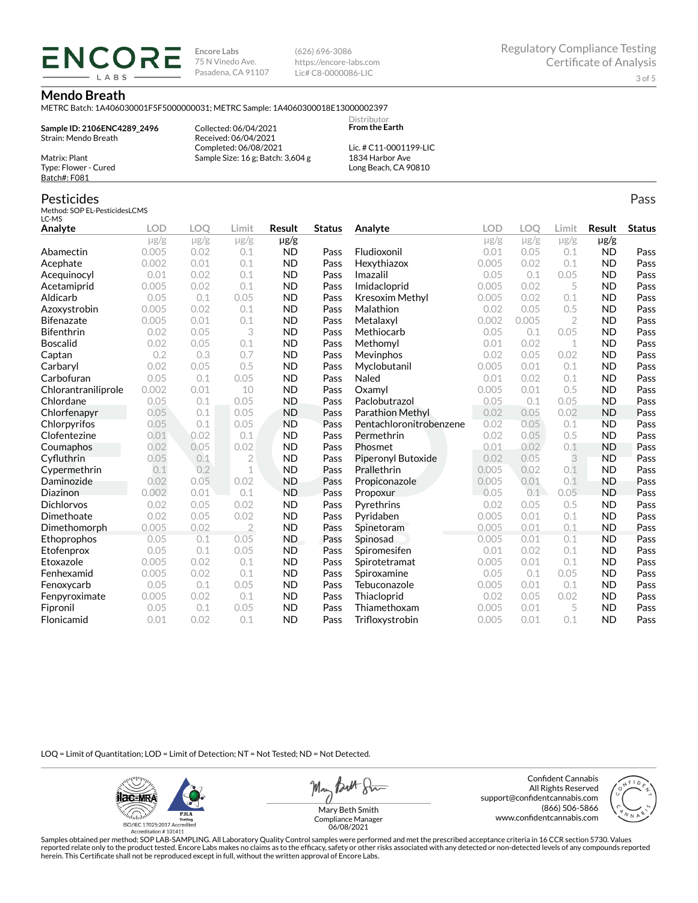**Encore Labs** 75 N Vinedo Ave. Pasadena, CA 91107 (626) 696-3086 https://encore-labs.com Lic# C8-0000086-LIC

#### **Mendo Breath**

METRC Batch: 1A406030001F5F5000000031; METRC Sample: 1A4060300018E13000002397

**Sample ID: 2106ENC4289\_2496** Strain: Mendo Breath

**ENCORI** LABS

> Collected: 06/04/2021 Received: 06/04/2021 Completed: 06/08/2021 Sample Size: 16 g; Batch: 3,604 g

Lic. # C11-0001199-LIC 1834 Harbor Ave Long Beach, CA 90810

Distributor **From the Earth**

### Pesticides

Matrix: Plant Type: Flower - Cured Batch#: F081

Method: SOP EL-PesticidesLCMS LC-MS

| LC-MD               |            |            |                |           |               |                         |            |           |                |           |               |
|---------------------|------------|------------|----------------|-----------|---------------|-------------------------|------------|-----------|----------------|-----------|---------------|
| Analyte             | <b>LOD</b> | <b>LOO</b> | Limit          | Result    | <b>Status</b> | Analyte                 | <b>LOD</b> | LOO       | Limit          | Result    | <b>Status</b> |
|                     | $\mu$ g/g  | $\mu$ g/g  | $\mu$ g/g      | µg/g      |               |                         | $\mu$ g/g  | $\mu$ g/g | $\mu$ g/g      | $\mu$ g/g |               |
| Abamectin           | 0.005      | 0.02       | 0.1            | <b>ND</b> | Pass          | Fludioxonil             | 0.01       | 0.05      | 0.1            | <b>ND</b> | Pass          |
| Acephate            | 0.002      | 0.01       | 0.1            | <b>ND</b> | Pass          | Hexythiazox             | 0.005      | 0.02      | 0.1            | <b>ND</b> | Pass          |
| Acequinocyl         | 0.01       | 0.02       | 0.1            | <b>ND</b> | Pass          | Imazalil                | 0.05       | 0.1       | 0.05           | <b>ND</b> | Pass          |
| Acetamiprid         | 0.005      | 0.02       | 0.1            | <b>ND</b> | Pass          | Imidacloprid            | 0.005      | 0.02      | 5              | <b>ND</b> | Pass          |
| Aldicarb            | 0.05       | 0.1        | 0.05           | <b>ND</b> | Pass          | <b>Kresoxim Methyl</b>  | 0.005      | 0.02      | 0.1            | <b>ND</b> | Pass          |
| Azoxystrobin        | 0.005      | 0.02       | 0.1            | <b>ND</b> | Pass          | Malathion               | 0.02       | 0.05      | 0.5            | <b>ND</b> | Pass          |
| <b>Bifenazate</b>   | 0.005      | 0.01       | 0.1            | <b>ND</b> | Pass          | Metalaxyl               | 0.002      | 0.005     | $\overline{2}$ | <b>ND</b> | Pass          |
| <b>Bifenthrin</b>   | 0.02       | 0.05       | 3              | <b>ND</b> | Pass          | Methiocarb              | 0.05       | 0.1       | 0.05           | <b>ND</b> | Pass          |
| <b>Boscalid</b>     | 0.02       | 0.05       | 0.1            | <b>ND</b> | Pass          | Methomyl                | 0.01       | 0.02      | $\mathbf 1$    | <b>ND</b> | Pass          |
| Captan              | 0.2        | 0.3        | 0.7            | <b>ND</b> | Pass          | Mevinphos               | 0.02       | 0.05      | 0.02           | <b>ND</b> | Pass          |
| Carbaryl            | 0.02       | 0.05       | 0.5            | <b>ND</b> | Pass          | Myclobutanil            | 0.005      | 0.01      | 0.1            | <b>ND</b> | Pass          |
| Carbofuran          | 0.05       | 0.1        | 0.05           | <b>ND</b> | Pass          | Naled                   | 0.01       | 0.02      | 0.1            | <b>ND</b> | Pass          |
| Chlorantraniliprole | 0.002      | 0.01       | 10             | <b>ND</b> | Pass          | Oxamyl                  | 0.005      | 0.01      | 0.5            | <b>ND</b> | Pass          |
| Chlordane           | 0.05       | 0.1        | 0.05           | <b>ND</b> | Pass          | Paclobutrazol           | 0.05       | 0.1       | 0.05           | <b>ND</b> | Pass          |
| Chlorfenapyr        | 0.05       | 0.1        | 0.05           | <b>ND</b> | Pass          | Parathion Methyl        | 0.02       | 0.05      | 0.02           | <b>ND</b> | Pass          |
| Chlorpyrifos        | 0.05       | 0.1        | 0.05           | <b>ND</b> | Pass          | Pentachloronitrobenzene | 0.02       | 0.05      | 0.1            | <b>ND</b> | Pass          |
| Clofentezine        | 0.01       | 0.02       | 0.1            | <b>ND</b> | Pass          | Permethrin              | 0.02       | 0.05      | 0.5            | <b>ND</b> | Pass          |
| Coumaphos           | 0.02       | 0.05       | 0.02           | <b>ND</b> | Pass          | Phosmet                 | 0.01       | 0.02      | 0.1            | <b>ND</b> | Pass          |
| Cyfluthrin          | 0.05       | 0.1        | $\overline{2}$ | <b>ND</b> | Pass          | Piperonyl Butoxide      | 0.02       | 0.05      | 3              | <b>ND</b> | Pass          |
| Cypermethrin        | 0.1        | 0.2        | 1              | <b>ND</b> | Pass          | Prallethrin             | 0.005      | 0.02      | 0.1            | <b>ND</b> | Pass          |
| Daminozide          | 0.02       | 0.05       | 0.02           | <b>ND</b> | Pass          | Propiconazole           | 0.005      | 0.01      | 0.1            | <b>ND</b> | Pass          |
| Diazinon            | 0.002      | 0.01       | 0.1            | <b>ND</b> | Pass          | Propoxur                | 0.05       | 0.1       | 0.05           | <b>ND</b> | Pass          |
| <b>Dichlorvos</b>   | 0.02       | 0.05       | 0.02           | <b>ND</b> | Pass          | Pyrethrins              | 0.02       | 0.05      | 0.5            | <b>ND</b> | Pass          |
| Dimethoate          | 0.02       | 0.05       | 0.02           | <b>ND</b> | Pass          | Pyridaben               | 0.005      | 0.01      | 0.1            | <b>ND</b> | Pass          |
| Dimethomorph        | 0.005      | 0.02       | $\overline{2}$ | <b>ND</b> | Pass          | Spinetoram              | 0.005      | 0.01      | 0.1            | <b>ND</b> | Pass          |
| Ethoprophos         | 0.05       | 0.1        | 0.05           | <b>ND</b> | Pass          | Spinosad                | 0.005      | 0.01      | 0.1            | <b>ND</b> | Pass          |
| Etofenprox          | 0.05       | 0.1        | 0.05           | <b>ND</b> | Pass          | Spiromesifen            | 0.01       | 0.02      | 0.1            | <b>ND</b> | Pass          |
| Etoxazole           | 0.005      | 0.02       | 0.1            | <b>ND</b> | Pass          | Spirotetramat           | 0.005      | 0.01      | 0.1            | <b>ND</b> | Pass          |
| Fenhexamid          | 0.005      | 0.02       | 0.1            | <b>ND</b> | Pass          | Spiroxamine             | 0.05       | 0.1       | 0.05           | <b>ND</b> | Pass          |
| Fenoxycarb          | 0.05       | 0.1        | 0.05           | <b>ND</b> | Pass          | Tebuconazole            | 0.005      | 0.01      | 0.1            | <b>ND</b> | Pass          |
| Fenpyroximate       | 0.005      | 0.02       | 0.1            | <b>ND</b> | Pass          | Thiacloprid             | 0.02       | 0.05      | 0.02           | <b>ND</b> | Pass          |
| Fipronil            | 0.05       | 0.1        | 0.05           | <b>ND</b> | Pass          | Thiamethoxam            | 0.005      | 0.01      | 5              | <b>ND</b> | Pass          |
| Flonicamid          | 0.01       | 0.02       | 0.1            | <b>ND</b> | Pass          | Trifloxystrobin         | 0.005      | 0.01      | 0.1            | <b>ND</b> | Pass          |

LOQ = Limit of Quantitation; LOD = Limit of Detection; NT = Not Tested; ND = Not Detected.

**ilac-MRA PJLA**  $d_{\rm thbb}$ ISO/IEC 17025:2017 Ac Accreditation #101411

May Butt Sim

Confident Cannabis All Rights Reserved support@confidentcannabis.com (866) 506-5866 www.confidentcannabis.com

Mary Beth Smith Compliance Manager 06/08/2021

Samples obtained per method: SOP LAB-SAMPLING. All Laboratory Quality Control samples were performed and met the prescribed acceptance criteria in 16 CCR section 5730. Values reported relate only to the product tested. Encore Labs makes no claims as to the efficacy, safety or other risks associated with any detected or non-detected levels of any compounds reported<br>herein. This Certificate shall

Pass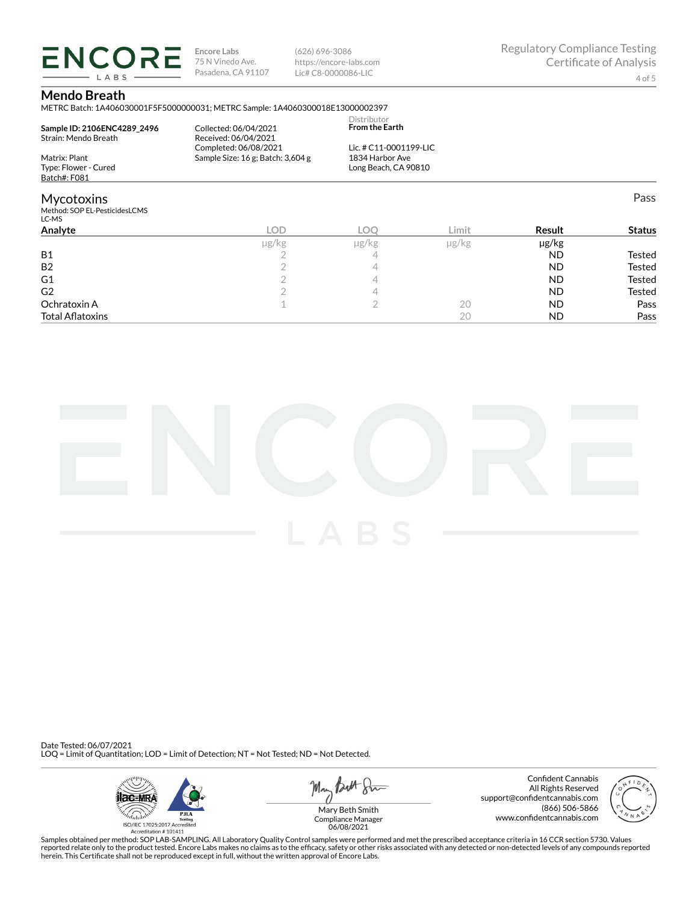**ENCORE Encore Labs** 75 N Vinedo Ave. Pasadena, CA 91107

(626) 696-3086 https://encore-labs.com Lic# C8-0000086-LIC

Pass

#### **Mendo Breath**

LABS

METRC Batch: 1A406030001F5F5000000031; METRC Sample: 1A4060300018E13000002397

| Sample ID: 2106ENC4289 2496<br>Strain: Mendo Breath | Collected: 06/04/2021<br>Received: 06/04/2021 | Distributor<br><b>From the Earth</b> |  |
|-----------------------------------------------------|-----------------------------------------------|--------------------------------------|--|
|                                                     | Completed: 06/08/2021                         | Lic. # C11-0001199-LIC               |  |
| Matrix: Plant                                       | Sample Size: 16 g; Batch: 3,604 g             | 1834 Harbor Ave                      |  |
| Type: Flower - Cured                                |                                               | Long Beach, CA 90810                 |  |
| Batch#: F081                                        |                                               |                                      |  |
| Mycotoxins                                          |                                               |                                      |  |
| Method: SOP EL-PesticidesLCMS<br>LC-MS              |                                               |                                      |  |

| Analyte                 | LOD.  | <b>LOC</b> | Limit | Result    | <b>Status</b> |
|-------------------------|-------|------------|-------|-----------|---------------|
|                         | µg/kg | µg/kg      | µg/kg | µg/kg     |               |
| <b>B1</b>               |       |            |       | <b>ND</b> | Tested        |
| <b>B2</b>               |       |            |       | <b>ND</b> | Tested        |
| G <sub>1</sub>          |       |            |       | <b>ND</b> | Tested        |
| G <sub>2</sub>          |       |            |       | <b>ND</b> | Tested        |
| Ochratoxin A            |       |            | 20    | <b>ND</b> | Pass          |
| <b>Total Aflatoxins</b> |       |            | 20    | <b>ND</b> | Pass          |



Date Tested: 06/07/2021 LOQ = Limit of Quantitation; LOD = Limit of Detection; NT = Not Tested; ND = Not Detected.



May *Butt* 8mm

Confident Cannabis All Rights Reserved support@confidentcannabis.com (866) 506-5866 www.confidentcannabis.com



Compliance Manager 06/08/2021

Samples obtained per method: SOP LAB-SAMPLING. All Laboratory Quality Control samples were performed and met the prescribed acceptance criteria in 16 CCR section 5730. Values reported relate only to the product tested. Encore Labs makes no claims as to the efficacy, safety or other risks associated with any detected or non-detected levels of any compounds reported<br>herein. This Certificate shall